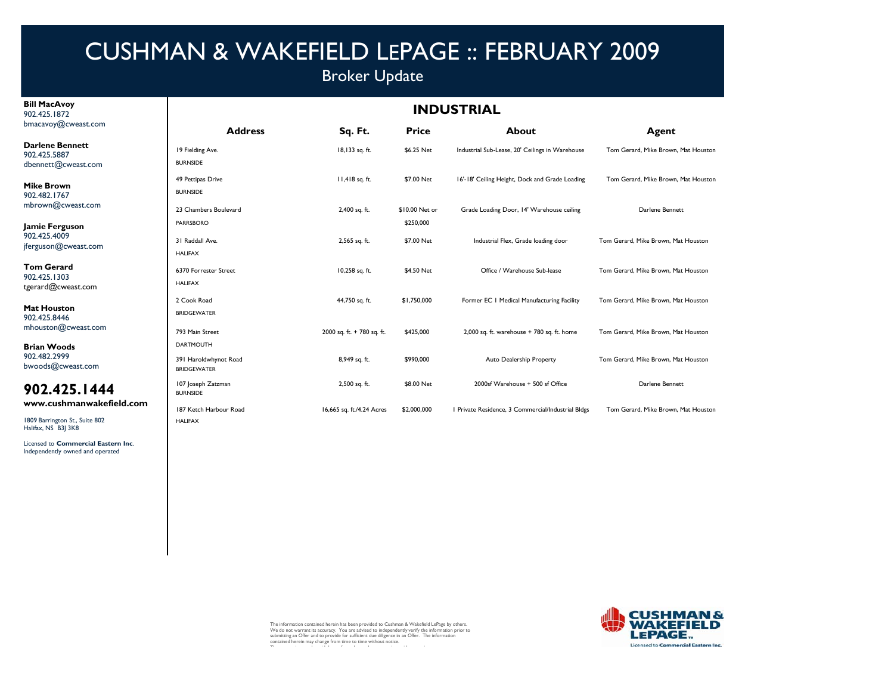## Broker Update

#### **Bill MacAvoy** 902.425.1872bmacavoy@cweast.com

**Darlene B** 902.425.58 dbennett@

**Mike Brow** 902.482.1767mbrown $@$ 

**Jamie Fer** 902.425.40 jferguson $@$ 

**Tom Gera** 902.425.1303tgerard@c

**Mat Hous** 902.425.8446mhouston(

**Brian Wo** 902.482.29 bwoods@c

### **902.425.1444**

www.cus

1809 Barrington St., Suite 802 Halifax, NS B3J 3K8

Licensed to **Commercial Eastern Inc**. Independently owned and operated

### **INDUSTRIAL**

| WCWCASL.COM                   | <b>Address</b>                              | Sq. Ft.                    | <b>Price</b>   | About                                              | Agent                               |
|-------------------------------|---------------------------------------------|----------------------------|----------------|----------------------------------------------------|-------------------------------------|
| Bennett<br>387<br>Dcweast.com | 19 Fielding Ave.<br><b>BURNSIDE</b>         | 18,133 sq. ft.             | \$6.25 Net     | Industrial Sub-Lease, 20' Ceilings in Warehouse    | Tom Gerard, Mike Brown, Mat Houston |
| wn<br>767                     | 49 Pettipas Drive<br><b>BURNSIDE</b>        | 11,418 sq. ft.             | \$7.00 Net     | 16'-18' Ceiling Height, Dock and Grade Loading     | Tom Gerard, Mike Brown, Mat Houston |
| cweast.com/                   | 23 Chambers Boulevard                       | 2,400 sq. ft.              | \$10.00 Net or | Grade Loading Door, 14' Warehouse ceiling          | Darlene Bennett                     |
| rguson                        | <b>PARRSBORO</b>                            |                            | \$250,000      |                                                    |                                     |
| )09<br>Dcweast.com            | 31 Raddall Ave.<br><b>HALIFAX</b>           | 2,565 sq. ft.              | \$7.00 Net     | Industrial Flex, Grade loading door                | Tom Gerard, Mike Brown, Mat Houston |
| ard.<br>303<br>cweast.com     | 6370 Forrester Street<br><b>HALIFAX</b>     | 10,258 sq. ft.             | \$4.50 Net     | Office / Warehouse Sub-lease                       | Tom Gerard, Mike Brown, Mat Houston |
| ston<br>446                   | 2 Cook Road<br><b>BRIDGEWATER</b>           | 44,750 sq. ft.             | \$1,750,000    | Former EC   Medical Manufacturing Facility         | Tom Gerard, Mike Brown, Mat Houston |
| @cweast.com                   | 793 Main Street                             | 2000 sq. ft. + 780 sq. ft. | \$425,000      | $2,000$ sq. ft. warehouse $+ 780$ sq. ft. home     | Tom Gerard, Mike Brown, Mat Houston |
| oods                          | <b>DARTMOUTH</b>                            |                            |                |                                                    |                                     |
| 999<br>cweast.com             | 391 Haroldwhynot Road<br><b>BRIDGEWATER</b> | 8,949 sq. ft.              | \$990,000      | Auto Dealership Property                           | Tom Gerard, Mike Brown, Mat Houston |
| 25.1444                       | 107 Joseph Zatzman<br><b>BURNSIDE</b>       | 2,500 sq. ft.              | \$8.00 Net     | 2000sf Warehouse + 500 sf Office                   | Darlene Bennett                     |
| shmanwakefield.com            | 187 Ketch Harbour Road                      | 16,665 sq. ft./4.24 Acres  | \$2,000,000    | I Private Residence, 3 Commercial/Industrial Bldgs | Tom Gerard, Mike Brown, Mat Houston |
| ton St., Suite 802            | <b>HALIFAX</b>                              |                            |                |                                                    |                                     |



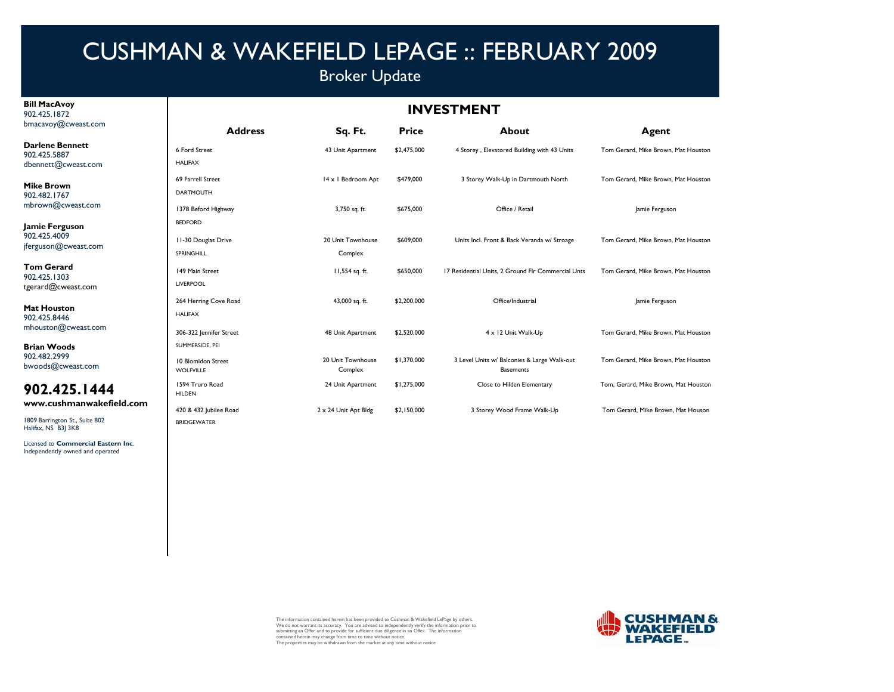## Broker Update

#### **Bill MacAvoy** 902.425.1872bmacavoy@cweast.com

**Darlene** 902.425.58 dbennett@

**Mike Brow** 902.482.1  $mbrown@$ 

Jamie Fer 902.425.40 jferguson@

**Tom Ger** 902.425.13 tgerard@c

**Mat Hous** 902.425.8446mhouston(

**Brian Wo** 902.482.29 bwoods@

### **902.425.1444**

www.cus

1809 Barrington St., Suite 802 Halifax, NS B3J 3K8

Licensed to **Commercial Eastern Inc**. Independently owned and operated

### **INVESTMENT**

| ----------         | <b>Address</b>                         | Sq. Ft.                      | <b>Price</b> | <b>About</b>                                                    | Agent                                |  |
|--------------------|----------------------------------------|------------------------------|--------------|-----------------------------------------------------------------|--------------------------------------|--|
| Bennett<br>387     | 6 Ford Street                          | 43 Unit Apartment            | \$2,475,000  | 4 Storey, Elevatored Building with 43 Units                     | Tom Gerard, Mike Brown, Mat Houston  |  |
| Dcweast.com        | <b>HALIFAX</b>                         |                              |              |                                                                 |                                      |  |
| wn                 | 69 Farrell Street                      | 14 x 1 Bedroom Apt           | \$479,000    | 3 Storey Walk-Up in Dartmouth North                             | Tom Gerard, Mike Brown, Mat Houston  |  |
| 767                | <b>DARTMOUTH</b>                       |                              |              |                                                                 |                                      |  |
| cweast.com/        | 1378 Beford Highway                    | 3,750 sq. ft.                | \$675,000    | Office / Retail                                                 | Jamie Ferguson                       |  |
| rguson             | <b>BEDFORD</b>                         |                              |              |                                                                 |                                      |  |
| )09<br>Dcweast.com | 11-30 Douglas Drive                    | 20 Unit Townhouse            | \$609,000    | Units Incl. Front & Back Veranda w/ Stroage                     | Tom Gerard, Mike Brown, Mat Houston  |  |
|                    | SPRINGHILL                             | Complex                      |              |                                                                 |                                      |  |
| ard.<br>303        | 149 Main Street                        | 11,554 sq. ft.               | \$650,000    | 17 Residential Units, 2 Ground Flr Commercial Unts              | Tom Gerard, Mike Brown, Mat Houston  |  |
| cweast.com         | <b>LIVERPOOL</b>                       |                              |              |                                                                 |                                      |  |
| ston               | 264 Herring Cove Road                  | 43,000 sq. ft.               | \$2,200,000  | Office/Industrial                                               | Jamie Ferguson                       |  |
| 146                | <b>HALIFAX</b>                         |                              |              |                                                                 |                                      |  |
| @cweast.com        | 306-322 Jennifer Street                | 48 Unit Apartment            | \$2,520,000  | 4 x 12 Unit Walk-Up                                             | Tom Gerard, Mike Brown, Mat Houston  |  |
| oods               | SUMMERSIDE. PEI                        |                              |              |                                                                 |                                      |  |
| 999<br>cweast.com  | 10 Blomidon Street<br><b>WOLFVILLE</b> | 20 Unit Townhouse<br>Complex | \$1,370,000  | 3 Level Units w/ Balconies & Large Walk-out<br><b>Basements</b> | Tom Gerard, Mike Brown, Mat Houston  |  |
| 25.1444            | 1594 Truro Road<br><b>HILDEN</b>       | 24 Unit Apartment            | \$1,275,000  | Close to Hilden Elementary                                      | Tom, Gerard, Mike Brown, Mat Houston |  |
| shmanwakefield.com | 420 & 432 Jubilee Road                 | 2 x 24 Unit Apt Bldg         | \$2,150,000  | 3 Storey Wood Frame Walk-Up                                     | Tom Gerard, Mike Brown, Mat Houson   |  |
| ton St., Suite 802 | <b>BRIDGEWATER</b>                     |                              |              |                                                                 |                                      |  |



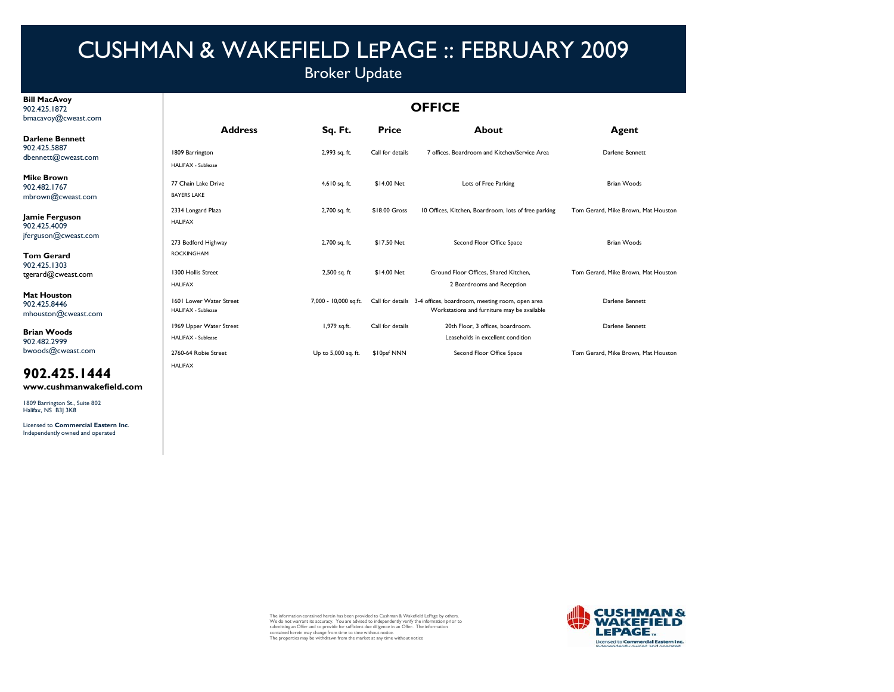## Broker Update

#### **Bill MacAvoy** 902.425.1872bmacavoy@cweast.com

#### **OFFICE**

| -------                                                       | <b>Address</b>                                            | Sq. Ft.               | <b>Price</b>     | <b>About</b>                                                                                                    | Agent                               |
|---------------------------------------------------------------|-----------------------------------------------------------|-----------------------|------------------|-----------------------------------------------------------------------------------------------------------------|-------------------------------------|
| <b>Darlene Bennett</b><br>902.425.5887<br>dbennett@cweast.com | 1809 Barrington<br><b>HALIFAX - Sublease</b>              | 2,993 sq. ft.         | Call for details | 7 offices. Boardroom and Kitchen/Service Area                                                                   | Darlene Bennett                     |
| <b>Mike Brown</b><br>902.482.1767<br>mbrown@cweast.com        | 77 Chain Lake Drive<br><b>BAYERS LAKE</b>                 | 4,610 sq. ft.         | \$14.00 Net      | Lots of Free Parking                                                                                            | Brian Woods                         |
| Jamie Ferguson<br>902.425.4009                                | 2334 Longard Plaza<br><b>HALIFAX</b>                      | 2,700 sq. ft.         | \$18.00 Gross    | 10 Offices, Kitchen, Boardroom, lots of free parking                                                            | Tom Gerard, Mike Brown, Mat Houston |
| jferguson@cweast.com                                          | 273 Bedford Highway                                       | 2,700 sq. ft.         | \$17.50 Net      | Second Floor Office Space                                                                                       | <b>Brian Woods</b>                  |
| <b>Tom Gerard</b><br>902.425.1303<br>tgerard@cweast.com       | <b>ROCKINGHAM</b><br>1300 Hollis Street<br><b>HALIFAX</b> | 2,500 sq. ft          | \$14.00 Net      | Ground Floor Offices, Shared Kitchen,<br>2 Boardrooms and Reception                                             | Tom Gerard, Mike Brown, Mat Houston |
| <b>Mat Houston</b><br>902.425.8446<br>mhouston@cweast.com     | 1601 Lower Water Street<br><b>HALIFAX - Sublease</b>      | 7,000 - 10,000 sq.ft. |                  | Call for details 3-4 offices, boardroom, meeting room, open area<br>Workstations and furniture may be available | Darlene Bennett                     |
| <b>Brian Woods</b><br>902.482.2999                            | 1969 Upper Water Street<br><b>HALIFAX - Sublease</b>      | 1,979 sq.ft.          | Call for details | 20th Floor, 3 offices, boardroom.<br>Leaseholds in excellent condition                                          | Darlene Bennett                     |
| bwoods@cweast.com                                             | 2760-64 Robie Street                                      | Up to 5,000 sq. ft.   | \$10psf NNN      | Second Floor Office Space                                                                                       | Tom Gerard, Mike Brown, Mat Houston |

## **902.425.1444**

**www.cushmanwakefield.com**

HALIFAX

1809 Barrington St., Suite 802 Halifax, NS B3J 3K8

Licensed to **Commercial Eastern Inc**. Independently owned and operated

The information contained herein has been provided to Cushman & Wakefield LePage by others.<br>We do not warrant its accuracy. You are advised to independently verify the information prior to<br>submitting an Offer and to provid

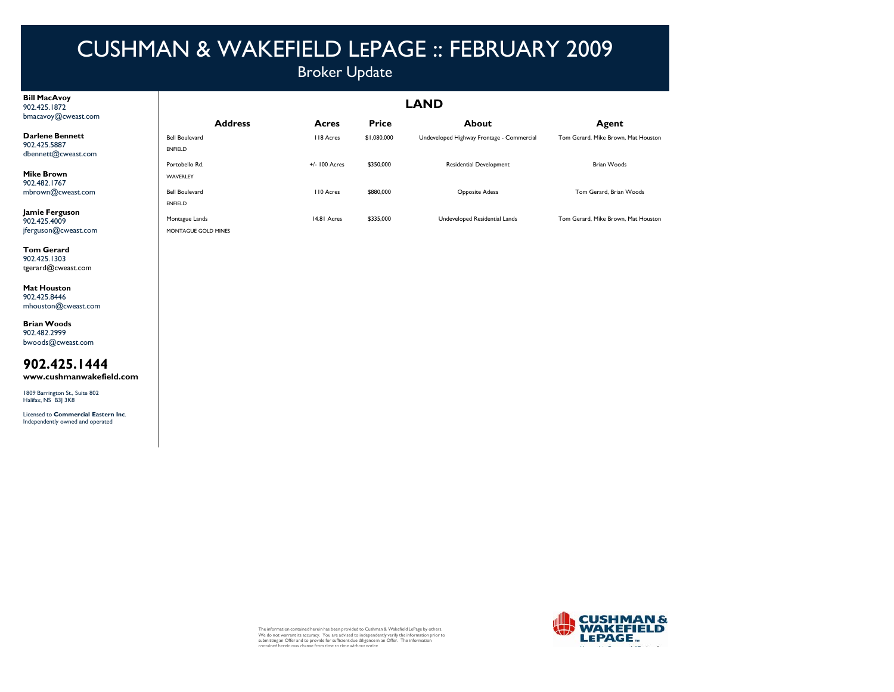### Broker Update

| <b>Bill MacAvoy</b> |
|---------------------|
| 902.425.1872        |
| bmacavoy@cweast.com |

**Darlene Bennett**902.425.5887dbennett@cweast.com

**Mike Brown** 902.482.1767mbrown@cweast.com

**Jamie Ferguson** 902.425.4009 jferguson@cweast.com ENFIELD

MONTAGUE GOLD MINES

**Tom Gerard** 902.425.1303tgerard@cweast.com

**Mat Houston** 902.425.8446mhouston@cweast.com

**Brian Woods** 902.482.2999bwoods@cweast.com

**902.425.1444www.cushmanwakefield.com**

1809 Barrington St., Suite 802 Halifax, NS B3J 3K8

Licensed to **Commercial Eastern Inc**. Independently owned and operated

| LAITD                                   |               |              |                                           |                                     |  |
|-----------------------------------------|---------------|--------------|-------------------------------------------|-------------------------------------|--|
| <b>Address</b>                          | Acres         | <b>Price</b> | About                                     | Agent                               |  |
| <b>Bell Boulevard</b><br><b>ENFIELD</b> | 118 Acres     | \$1,080,000  | Undeveloped Highway Frontage - Commercial | Tom Gerard, Mike Brown, Mat Houston |  |
| Portobello Rd.<br>WAVERLEY              | +/- 100 Acres | \$350,000    | Residential Development                   | <b>Brian Woods</b>                  |  |
| <b>Bell Boulevard</b>                   | 110 Acres     | \$880,000    | Opposite Adesa                            | Tom Gerard, Brian Woods             |  |

The information contained herein has been provided to Cushman & Wakefield LePage by others.<br>We do not warrant its accuracy. You are advised to independently verify the information prior to<br>submitting an Offer and to provid



**LAND**

Montague Lands 14.81 Acres \$335,000 Undeveloped Residential Lands Tom Gerard, Mike Brown, Mat Houston